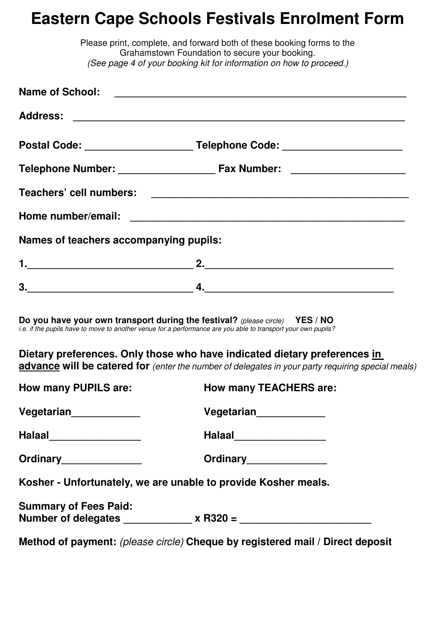## **Eastern Cape Schools Festivals Enrolment Form**

|                                        | Please print, complete, and forward both of these booking forms to the<br>Grahamstown Foundation to secure your booking.<br>(See page 4 of your booking kit for information on how to proceed.)                                |
|----------------------------------------|--------------------------------------------------------------------------------------------------------------------------------------------------------------------------------------------------------------------------------|
|                                        |                                                                                                                                                                                                                                |
|                                        |                                                                                                                                                                                                                                |
|                                        |                                                                                                                                                                                                                                |
|                                        |                                                                                                                                                                                                                                |
|                                        |                                                                                                                                                                                                                                |
|                                        |                                                                                                                                                                                                                                |
| Names of teachers accompanying pupils: |                                                                                                                                                                                                                                |
|                                        |                                                                                                                                                                                                                                |
|                                        | $3.$ $4.$ $4.$ $5.$ $6.$ $7.$ $7.$ $8.$ $9.$ $10.$ $10.$ $10.$ $10.$ $10.$ $10.$ $10.$ $10.$ $10.$ $10.$ $10.$ $10.$ $10.$ $10.$ $10.$ $10.$ $10.$ $10.$ $10.$ $10.$ $10.$ $10.$ $10.$ $10.$ $10.$ $10.$ $10.$ $10.$ $10.$ $1$ |
|                                        | Do you have your own transport during the festival? (please circle) YES / NO<br>i.e. if the pupils have to move to another venue for a performance are you able to transport your own pupils?                                  |
|                                        | Dietary preferences. Only those who have indicated dietary preferences in<br>advance will be catered for (enter the number of delegates in your party requiring special meals)                                                 |
| <b>How many PUPILS are:</b>            | How many TEACHERS are:                                                                                                                                                                                                         |
| Vegetarian <sub>_____________</sub>    | Vegetarian <sub>______________</sub>                                                                                                                                                                                           |
| Halaal___________________              | Halaal___________________                                                                                                                                                                                                      |
| Ordinary_______________                | Ordinary________________                                                                                                                                                                                                       |
|                                        | Kosher - Unfortunately, we are unable to provide Kosher meals.                                                                                                                                                                 |
| <b>Summary of Fees Paid:</b>           |                                                                                                                                                                                                                                |
|                                        | Method of payment: (please circle) Cheque by registered mail / Direct deposit                                                                                                                                                  |